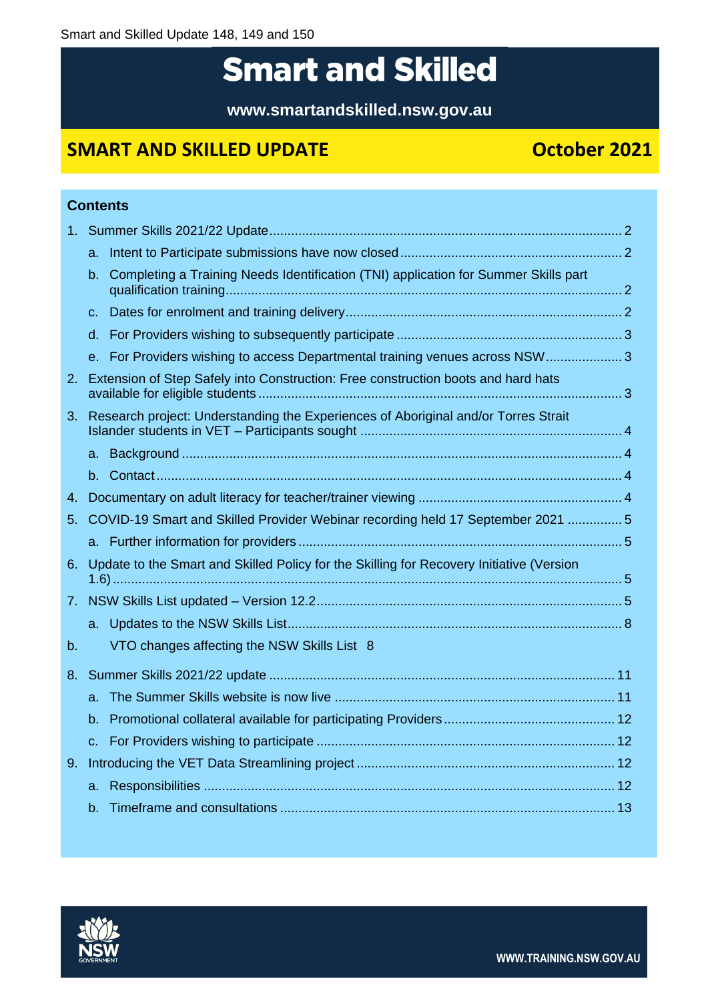# **Smart and Skilled**

**www.smartandskilled.nsw.gov.au**

# **SMART AND SKILLED UPDATE CONSUMING SMART AND SKILLED UPDATE**

**Contents**

|    | a.      |                                                                                          |  |
|----|---------|------------------------------------------------------------------------------------------|--|
|    | b.      | Completing a Training Needs Identification (TNI) application for Summer Skills part      |  |
|    | $C_{-}$ |                                                                                          |  |
|    |         |                                                                                          |  |
|    |         | e. For Providers wishing to access Departmental training venues across NSW 3             |  |
|    |         | 2. Extension of Step Safely into Construction: Free construction boots and hard hats     |  |
| 3. |         | Research project: Understanding the Experiences of Aboriginal and/or Torres Strait       |  |
|    |         |                                                                                          |  |
|    |         |                                                                                          |  |
| 4. |         |                                                                                          |  |
|    |         | 5. COVID-19 Smart and Skilled Provider Webinar recording held 17 September 2021  5       |  |
|    |         |                                                                                          |  |
| 6. |         | Update to the Smart and Skilled Policy for the Skilling for Recovery Initiative (Version |  |
|    |         |                                                                                          |  |
|    |         |                                                                                          |  |
| b. |         | VTO changes affecting the NSW Skills List 8                                              |  |
|    |         |                                                                                          |  |
|    | $a -$   |                                                                                          |  |
|    |         |                                                                                          |  |
|    | $C_{n}$ |                                                                                          |  |
| 9. |         |                                                                                          |  |
|    |         |                                                                                          |  |
|    |         |                                                                                          |  |

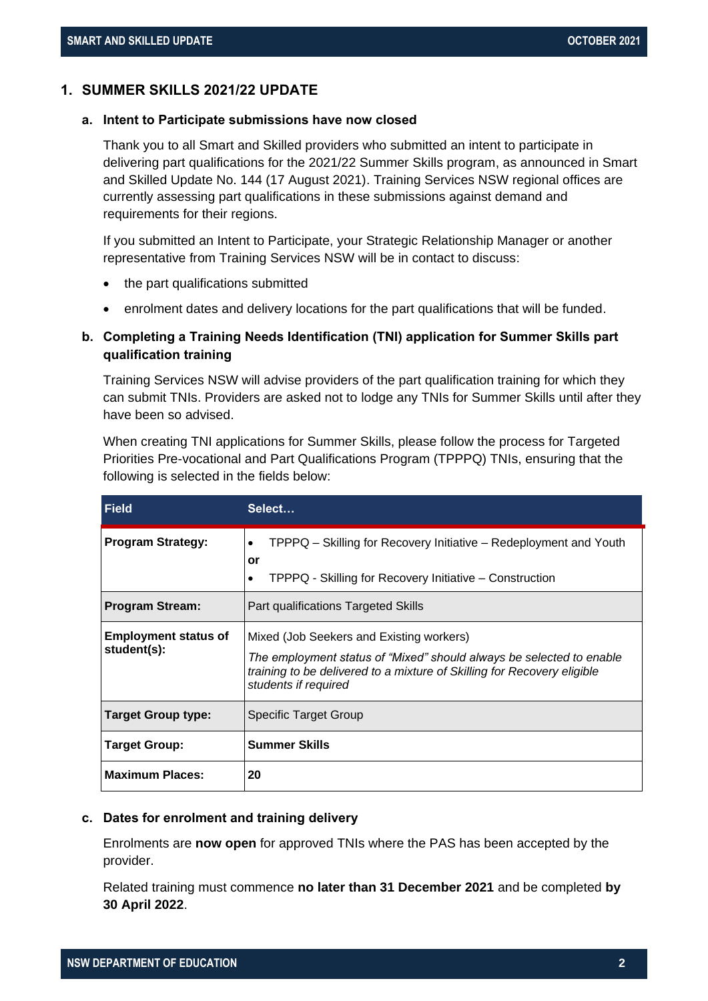# <span id="page-1-0"></span>**1. SUMMER SKILLS 2021/22 UPDATE**

### <span id="page-1-1"></span>**a. Intent to Participate submissions have now closed**

Thank you to all Smart and Skilled providers who submitted an intent to participate in delivering part qualifications for the 2021/22 Summer Skills program, as announced in Smart and Skilled Update No. 144 (17 August 2021). Training Services NSW regional offices are currently assessing part qualifications in these submissions against demand and requirements for their regions.

If you submitted an Intent to Participate, your Strategic Relationship Manager or another representative from Training Services NSW will be in contact to discuss:

- the part qualifications submitted
- enrolment dates and delivery locations for the part qualifications that will be funded.

# <span id="page-1-2"></span>**b. Completing a Training Needs Identification (TNI) application for Summer Skills part qualification training**

Training Services NSW will advise providers of the part qualification training for which they can submit TNIs. Providers are asked not to lodge any TNIs for Summer Skills until after they have been so advised.

When creating TNI applications for Summer Skills, please follow the process for Targeted Priorities Pre-vocational and Part Qualifications Program (TPPPQ) TNIs, ensuring that the following is selected in the fields below:

| <b>Field</b>                               | Select                                                                                                                                                                                                              |
|--------------------------------------------|---------------------------------------------------------------------------------------------------------------------------------------------------------------------------------------------------------------------|
| <b>Program Strategy:</b>                   | TPPPQ – Skilling for Recovery Initiative – Redeployment and Youth<br>$\bullet$<br>or<br>TPPPQ - Skilling for Recovery Initiative - Construction<br>٠                                                                |
| <b>Program Stream:</b>                     | Part qualifications Targeted Skills                                                                                                                                                                                 |
| <b>Employment status of</b><br>student(s): | Mixed (Job Seekers and Existing workers)<br>The employment status of "Mixed" should always be selected to enable<br>training to be delivered to a mixture of Skilling for Recovery eligible<br>students if required |
| Target Group type:                         | Specific Target Group                                                                                                                                                                                               |
| <b>Target Group:</b>                       | <b>Summer Skills</b>                                                                                                                                                                                                |
| <b>Maximum Places:</b>                     | 20                                                                                                                                                                                                                  |

### <span id="page-1-3"></span>**c. Dates for enrolment and training delivery**

Enrolments are **now open** for approved TNIs where the PAS has been accepted by the provider.

Related training must commence **no later than 31 December 2021** and be completed **by 30 April 2022**.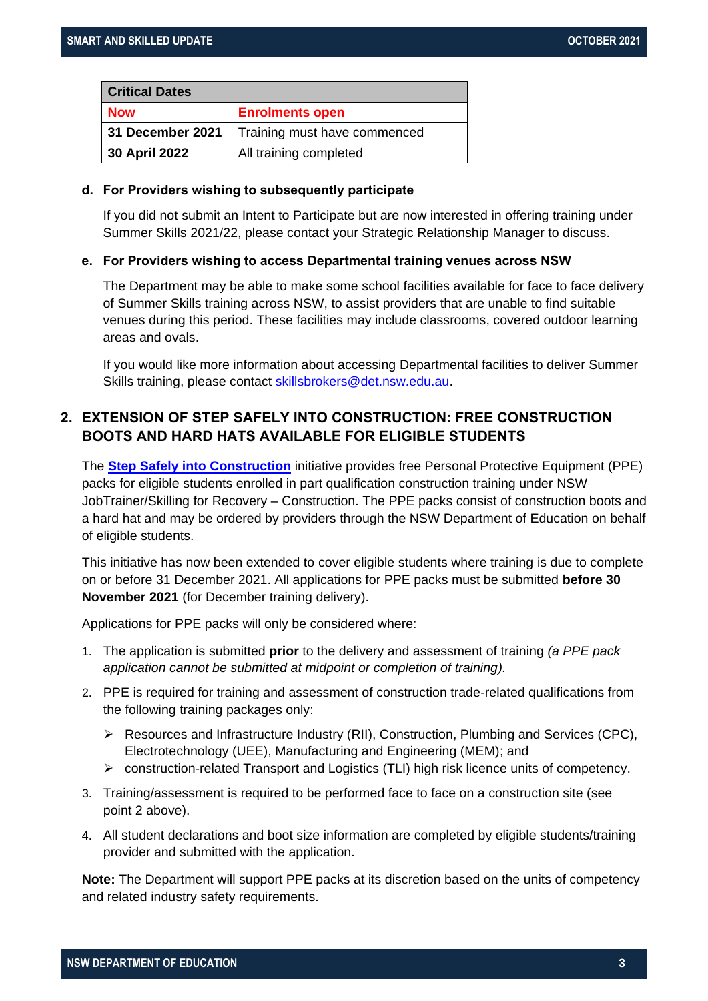| <b>Critical Dates</b> |                              |  |
|-----------------------|------------------------------|--|
| <b>Now</b>            | <b>Enrolments open</b>       |  |
| 31 December 2021      | Training must have commenced |  |
| 30 April 2022         | All training completed       |  |

# <span id="page-2-0"></span>**d. For Providers wishing to subsequently participate**

If you did not submit an Intent to Participate but are now interested in offering training under Summer Skills 2021/22, please contact your Strategic Relationship Manager to discuss.

# <span id="page-2-1"></span>**e. For Providers wishing to access Departmental training venues across NSW**

The Department may be able to make some school facilities available for face to face delivery of Summer Skills training across NSW, to assist providers that are unable to find suitable venues during this period. These facilities may include classrooms, covered outdoor learning areas and ovals.

If you would like more information about accessing Departmental facilities to deliver Summer Skills training, please contact [skillsbrokers@det.nsw.edu.au.](mailto:skillsbrokers@det.nsw.edu.au)

# <span id="page-2-2"></span>**2. EXTENSION OF STEP SAFELY INTO CONSTRUCTION: FREE CONSTRUCTION BOOTS AND HARD HATS AVAILABLE FOR ELIGIBLE STUDENTS**

The **[Step Safely into Construction](https://www.training.nsw.gov.au/programs_services/sfr/construction/step_safely_ppe.html)** initiative provides free Personal Protective Equipment (PPE) packs for eligible students enrolled in part qualification construction training under NSW JobTrainer/Skilling for Recovery – Construction. The PPE packs consist of construction boots and a hard hat and may be ordered by providers through the NSW Department of Education on behalf of eligible students.

This initiative has now been extended to cover eligible students where training is due to complete on or before 31 December 2021. All applications for PPE packs must be submitted **before 30 November 2021** (for December training delivery).

Applications for PPE packs will only be considered where:

- 1. The application is submitted **prior** to the delivery and assessment of training *(a PPE pack application cannot be submitted at midpoint or completion of training).*
- 2. PPE is required for training and assessment of construction trade-related qualifications from the following training packages only:
	- ➢ Resources and Infrastructure Industry (RII), Construction, Plumbing and Services (CPC), Electrotechnology (UEE), Manufacturing and Engineering (MEM); and
	- ➢ construction-related Transport and Logistics (TLI) high risk licence units of competency.
- 3. Training/assessment is required to be performed face to face on a construction site (see point 2 above).
- 4. All student declarations and boot size information are completed by eligible students/training provider and submitted with the application.

**Note:** The Department will support PPE packs at its discretion based on the units of competency and related industry safety requirements.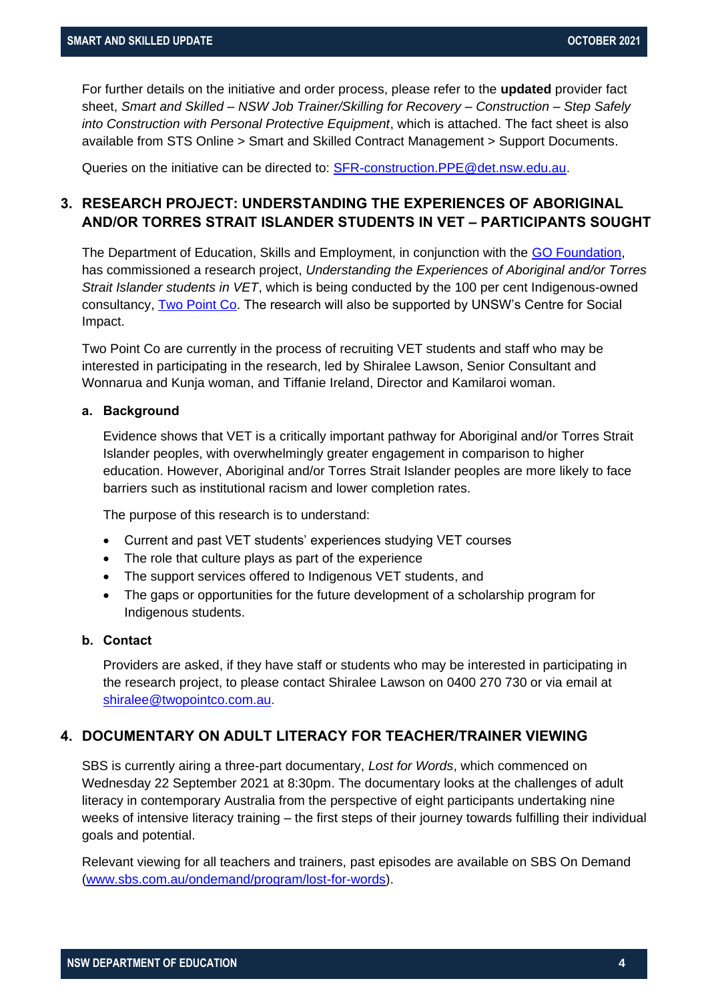For further details on the initiative and order process, please refer to the **updated** provider fact sheet, *Smart and Skilled – NSW Job Trainer/Skilling for Recovery – Construction – Step Safely into Construction with Personal Protective Equipment*, which is attached. The fact sheet is also available from STS Online > Smart and Skilled Contract Management > Support Documents.

Queries on the initiative can be directed to: **SFR-construction.PPE@det.nsw.edu.au.** 

# <span id="page-3-0"></span>**3. RESEARCH PROJECT: UNDERSTANDING THE EXPERIENCES OF ABORIGINAL AND/OR TORRES STRAIT ISLANDER STUDENTS IN VET – PARTICIPANTS SOUGHT**

The Department of Education, Skills and Employment, in conjunction with the [GO Foundation,](https://www.gofoundation.org.au/) has commissioned a research project, *Understanding the Experiences of Aboriginal and/or Torres Strait Islander students in VET*, which is being conducted by the 100 per cent Indigenous-owned consultancy, [Two Point Co.](https://www.twopointco.com.au/) The research will also be supported by UNSW's Centre for Social Impact.

Two Point Co are currently in the process of recruiting VET students and staff who may be interested in participating in the research, led by Shiralee Lawson, Senior Consultant and Wonnarua and Kunja woman, and Tiffanie Ireland, Director and Kamilaroi woman.

# <span id="page-3-1"></span>**a. Background**

Evidence shows that VET is a critically important pathway for Aboriginal and/or Torres Strait Islander peoples, with overwhelmingly greater engagement in comparison to higher education. However, Aboriginal and/or Torres Strait Islander peoples are more likely to face barriers such as institutional racism and lower completion rates.

The purpose of this research is to understand:

- Current and past VET students' experiences studying VET courses
- The role that culture plays as part of the experience
- The support services offered to Indigenous VET students, and
- The gaps or opportunities for the future development of a scholarship program for Indigenous students.

# <span id="page-3-2"></span>**b. Contact**

Providers are asked, if they have staff or students who may be interested in participating in the research project, to please contact Shiralee Lawson on 0400 270 730 or via email at [shiralee@twopointco.com.au.](mailto:shiralee@twopointco.com.au)

# <span id="page-3-3"></span>**4. DOCUMENTARY ON ADULT LITERACY FOR TEACHER/TRAINER VIEWING**

SBS is currently airing a three-part documentary, *Lost for Words*, which commenced on Wednesday 22 September 2021 at 8:30pm. The documentary looks at the challenges of adult literacy in contemporary Australia from the perspective of eight participants undertaking nine weeks of intensive literacy training – the first steps of their journey towards fulfilling their individual goals and potential.

Relevant viewing for all teachers and trainers, past episodes are available on SBS On Demand [\(www.sbs.com.au/ondemand/program/lost-for-words\)](https://www.sbs.com.au/ondemand/program/lost-for-words).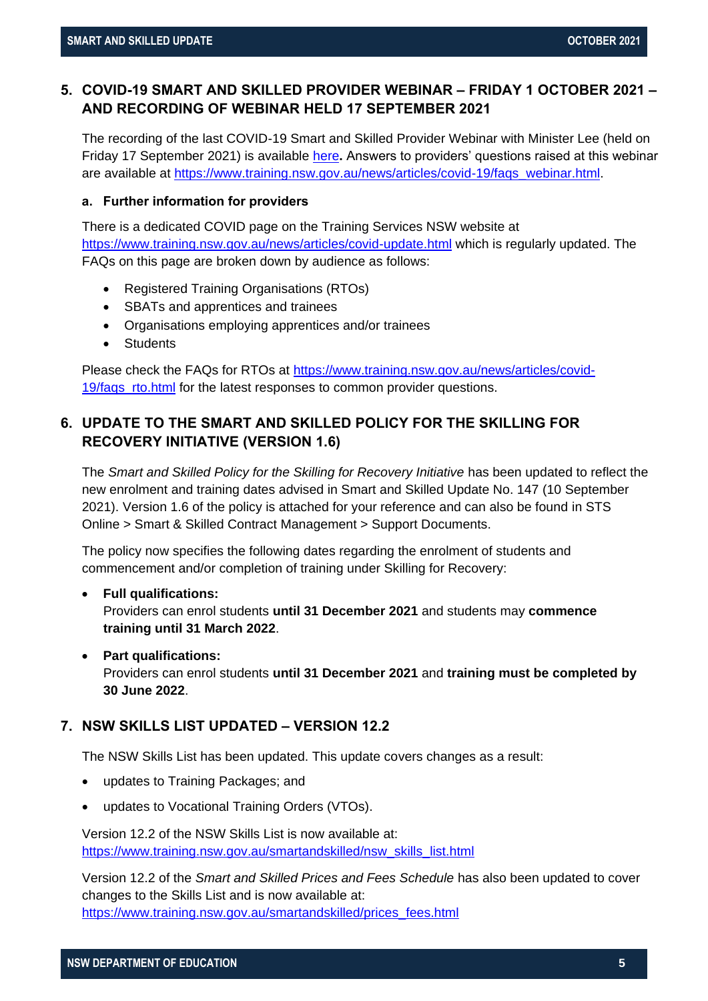# <span id="page-4-0"></span>**5. COVID-19 SMART AND SKILLED PROVIDER WEBINAR – FRIDAY 1 OCTOBER 2021 – AND RECORDING OF WEBINAR HELD 17 SEPTEMBER 2021**

The recording of the last COVID-19 Smart and Skilled Provider Webinar with Minister Lee (held on Friday 17 September 2021) is available [here](https://bcove.video/3EU6kSn)**.** Answers to providers' questions raised at this webinar are available at [https://www.training.nsw.gov.au/news/articles/covid-19/faqs\\_webinar.html.](https://www.training.nsw.gov.au/news/articles/covid-19/faqs_webinar.html)

# <span id="page-4-1"></span>**a. Further information for providers**

There is a dedicated COVID page on the Training Services NSW website at <https://www.training.nsw.gov.au/news/articles/covid-update.html> which is regularly updated. The FAQs on this page are broken down by audience as follows:

- Registered Training Organisations (RTOs)
- SBATs and apprentices and trainees
- Organisations employing apprentices and/or trainees
- Students

Please check the FAQs for RTOs at [https://www.training.nsw.gov.au/news/articles/covid-](https://www.training.nsw.gov.au/news/articles/covid-19/faqs_rto.html)[19/faqs\\_rto.html](https://www.training.nsw.gov.au/news/articles/covid-19/faqs_rto.html) for the latest responses to common provider questions.

# <span id="page-4-2"></span>**6. UPDATE TO THE SMART AND SKILLED POLICY FOR THE SKILLING FOR RECOVERY INITIATIVE (VERSION 1.6)**

The *Smart and Skilled Policy for the Skilling for Recovery Initiative* has been updated to reflect the new enrolment and training dates advised in Smart and Skilled Update No. 147 (10 September 2021). Version 1.6 of the policy is attached for your reference and can also be found in STS Online > Smart & Skilled Contract Management > Support Documents.

The policy now specifies the following dates regarding the enrolment of students and commencement and/or completion of training under Skilling for Recovery:

# • **Full qualifications:**

Providers can enrol students **until 31 December 2021** and students may **commence training until 31 March 2022**.

# • **Part qualifications:**

Providers can enrol students **until 31 December 2021** and **training must be completed by 30 June 2022**.

# <span id="page-4-3"></span>**7. NSW SKILLS LIST UPDATED – VERSION 12.2**

The NSW Skills List has been updated. This update covers changes as a result:

- updates to Training Packages; and
- updates to Vocational Training Orders (VTOs).

Version 12.2 of the NSW Skills List is now available at: [https://www.training.nsw.gov.au/smartandskilled/nsw\\_skills\\_list.html](https://www.training.nsw.gov.au/smartandskilled/nsw_skills_list.html)

Version 12.2 of the *Smart and Skilled Prices and Fees Schedule* has also been updated to cover changes to the Skills List and is now available at: [https://www.training.nsw.gov.au/smartandskilled/prices\\_fees.html](https://www.training.nsw.gov.au/smartandskilled/prices_fees.html)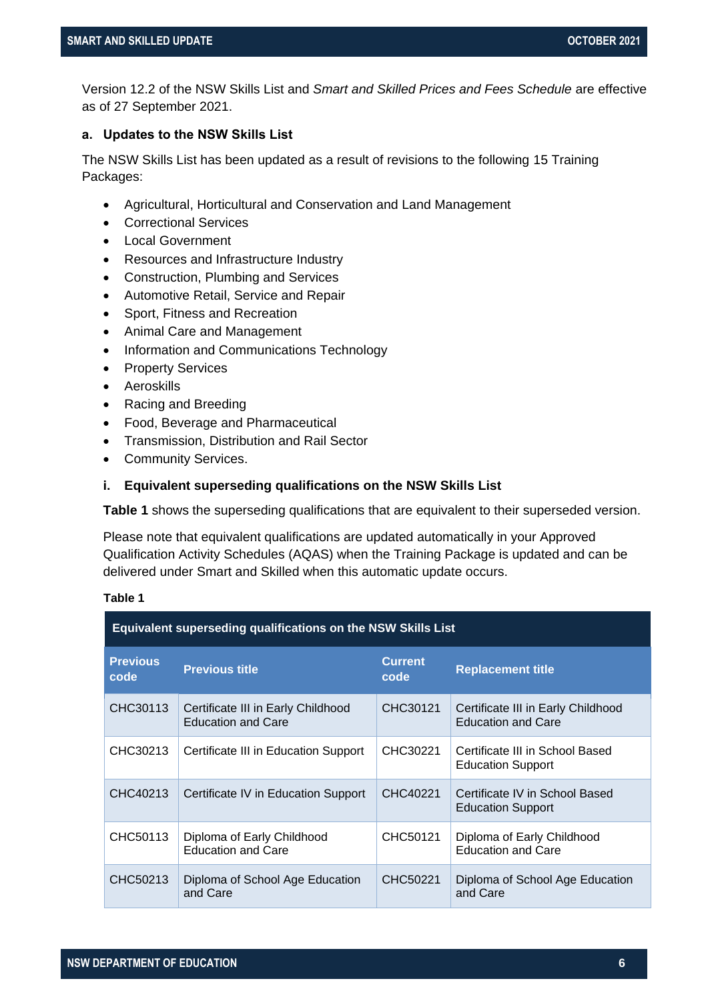Version 12.2 of the NSW Skills List and *Smart and Skilled Prices and Fees Schedule* are effective as of 27 September 2021.

# <span id="page-5-0"></span>**a. Updates to the NSW Skills List**

The NSW Skills List has been updated as a result of revisions to the following 15 Training Packages:

- Agricultural, Horticultural and Conservation and Land Management
- Correctional Services
- Local Government
- Resources and Infrastructure Industry
- Construction, Plumbing and Services
- Automotive Retail, Service and Repair
- Sport, Fitness and Recreation
- Animal Care and Management
- Information and Communications Technology
- Property Services
- Aeroskills
- Racing and Breeding
- Food, Beverage and Pharmaceutical
- Transmission, Distribution and Rail Sector
- Community Services.

#### **i. Equivalent superseding qualifications on the NSW Skills List**

**[Table 1](#page-5-1)** shows the superseding qualifications that are equivalent to their superseded version.

Please note that equivalent qualifications are updated automatically in your Approved Qualification Activity Schedules (AQAS) when the Training Package is updated and can be delivered under Smart and Skilled when this automatic update occurs.

#### <span id="page-5-1"></span>**Table 1**

| <b>Equivalent superseding qualifications on the NSW Skills List</b> |                                                                 |                        |                                                                 |
|---------------------------------------------------------------------|-----------------------------------------------------------------|------------------------|-----------------------------------------------------------------|
| <b>Previous</b><br>code                                             | <b>Previous title</b>                                           | <b>Current</b><br>code | <b>Replacement title</b>                                        |
| CHC30113                                                            | Certificate III in Early Childhood<br><b>Education and Care</b> | CHC30121               | Certificate III in Early Childhood<br><b>Education and Care</b> |
| CHC30213                                                            | Certificate III in Education Support                            | CHC30221               | Certificate III in School Based<br><b>Education Support</b>     |
| CHC40213                                                            | Certificate IV in Education Support                             | CHC40221               | Certificate IV in School Based<br><b>Education Support</b>      |
| CHC50113                                                            | Diploma of Early Childhood<br><b>Education and Care</b>         | CHC50121               | Diploma of Early Childhood<br><b>Education and Care</b>         |
| CHC50213                                                            | Diploma of School Age Education<br>and Care                     | CHC50221               | Diploma of School Age Education<br>and Care                     |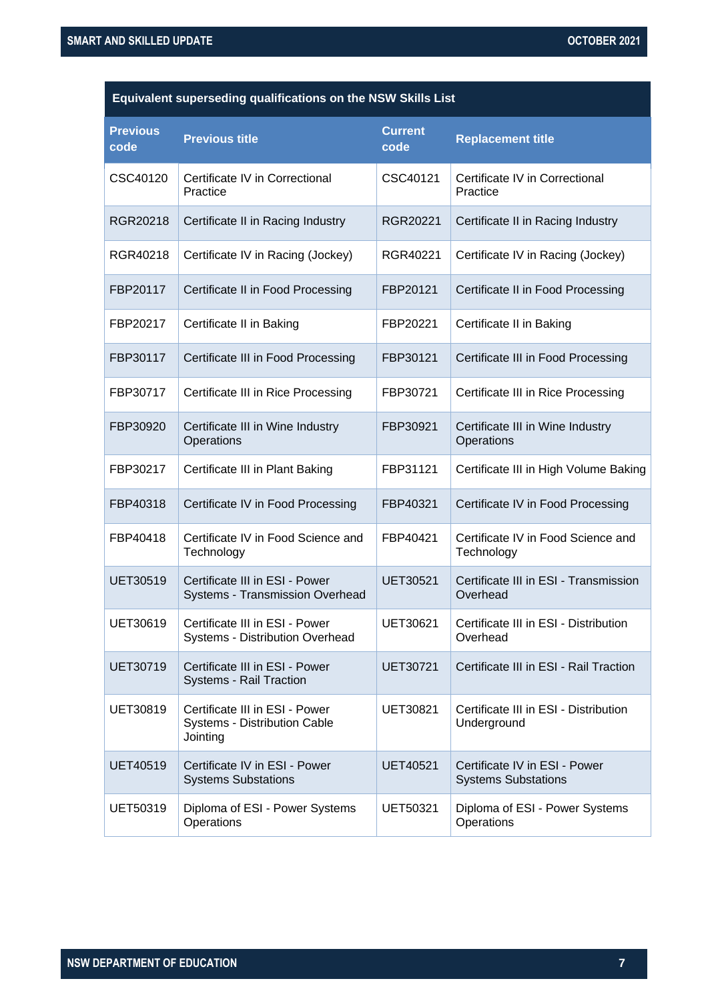| Equivalent superseding qualifications on the NSW Skills List |                                                                            |                        |                                                             |
|--------------------------------------------------------------|----------------------------------------------------------------------------|------------------------|-------------------------------------------------------------|
| <b>Previous</b><br>code                                      | <b>Previous title</b>                                                      | <b>Current</b><br>code | <b>Replacement title</b>                                    |
| CSC40120                                                     | Certificate IV in Correctional<br>Practice                                 | CSC40121               | Certificate IV in Correctional<br>Practice                  |
| RGR20218                                                     | Certificate II in Racing Industry                                          | RGR20221               | Certificate II in Racing Industry                           |
| RGR40218                                                     | Certificate IV in Racing (Jockey)                                          | RGR40221               | Certificate IV in Racing (Jockey)                           |
| FBP20117                                                     | Certificate II in Food Processing                                          | FBP20121               | Certificate II in Food Processing                           |
| FBP20217                                                     | Certificate II in Baking                                                   | FBP20221               | Certificate II in Baking                                    |
| FBP30117                                                     | Certificate III in Food Processing                                         | FBP30121               | Certificate III in Food Processing                          |
| FBP30717                                                     | Certificate III in Rice Processing                                         | FBP30721               | Certificate III in Rice Processing                          |
| FBP30920                                                     | Certificate III in Wine Industry<br>Operations                             | FBP30921               | Certificate III in Wine Industry<br>Operations              |
| FBP30217                                                     | Certificate III in Plant Baking                                            | FBP31121               | Certificate III in High Volume Baking                       |
| FBP40318                                                     | Certificate IV in Food Processing                                          | FBP40321               | Certificate IV in Food Processing                           |
| FBP40418                                                     | Certificate IV in Food Science and<br>Technology                           | FBP40421               | Certificate IV in Food Science and<br>Technology            |
| <b>UET30519</b>                                              | Certificate III in ESI - Power<br>Systems - Transmission Overhead          | <b>UET30521</b>        | Certificate III in ESI - Transmission<br>Overhead           |
| UET30619                                                     | Certificate III in ESI - Power<br>Systems - Distribution Overhead          | UET30621               | Certificate III in ESI - Distribution<br>Overhead           |
| UET30719                                                     | Certificate III in ESI - Power<br>Systems - Rail Traction                  | <b>UET30721</b>        | Certificate III in ESI - Rail Traction                      |
| UET30819                                                     | Certificate III in ESI - Power<br>Systems - Distribution Cable<br>Jointing | <b>UET30821</b>        | Certificate III in ESI - Distribution<br>Underground        |
| <b>UET40519</b>                                              | Certificate IV in ESI - Power<br><b>Systems Substations</b>                | <b>UET40521</b>        | Certificate IV in ESI - Power<br><b>Systems Substations</b> |
| UET50319                                                     | Diploma of ESI - Power Systems<br>Operations                               | <b>UET50321</b>        | Diploma of ESI - Power Systems<br>Operations                |
|                                                              |                                                                            |                        |                                                             |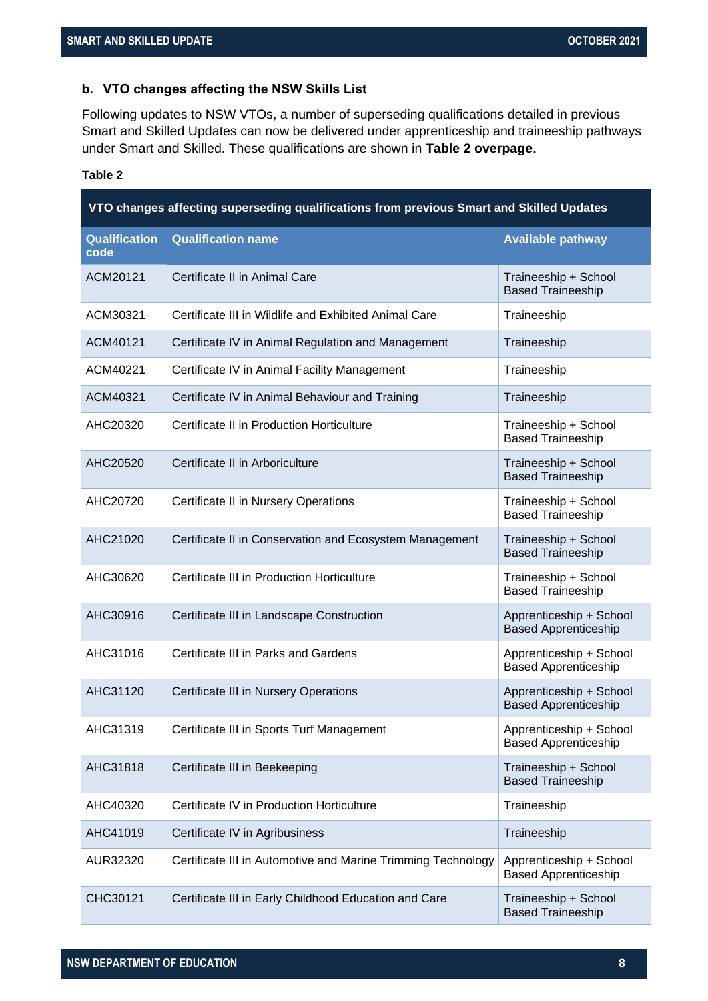# <span id="page-7-0"></span>**b. VTO changes affecting the NSW Skills List**

Following updates to NSW VTOs, a number of superseding qualifications detailed in previous Smart and Skilled Updates can now be delivered under apprenticeship and traineeship pathways under Smart and Skilled. These qualifications are shown in **[Table 2](#page-7-1) overpage.**

# <span id="page-7-1"></span>**Table 2**

| VTO changes affecting superseding qualifications from previous Smart and Skilled Updates |                                                              |                                                        |
|------------------------------------------------------------------------------------------|--------------------------------------------------------------|--------------------------------------------------------|
| <b>Qualification</b><br>code                                                             | <b>Qualification name</b>                                    | <b>Available pathway</b>                               |
| ACM20121                                                                                 | Certificate II in Animal Care                                | Traineeship + School<br><b>Based Traineeship</b>       |
| ACM30321                                                                                 | Certificate III in Wildlife and Exhibited Animal Care        | Traineeship                                            |
| ACM40121                                                                                 | Certificate IV in Animal Regulation and Management           | Traineeship                                            |
| ACM40221                                                                                 | Certificate IV in Animal Facility Management                 | Traineeship                                            |
| ACM40321                                                                                 | Certificate IV in Animal Behaviour and Training              | Traineeship                                            |
| AHC20320                                                                                 | Certificate II in Production Horticulture                    | Traineeship + School<br><b>Based Traineeship</b>       |
| AHC20520                                                                                 | Certificate II in Arboriculture                              | Traineeship + School<br><b>Based Traineeship</b>       |
| AHC20720                                                                                 | Certificate II in Nursery Operations                         | Traineeship + School<br><b>Based Traineeship</b>       |
| AHC21020                                                                                 | Certificate II in Conservation and Ecosystem Management      | Traineeship + School<br><b>Based Traineeship</b>       |
| AHC30620                                                                                 | Certificate III in Production Horticulture                   | Traineeship + School<br><b>Based Traineeship</b>       |
| AHC30916                                                                                 | Certificate III in Landscape Construction                    | Apprenticeship + School<br><b>Based Apprenticeship</b> |
| AHC31016                                                                                 | Certificate III in Parks and Gardens                         | Apprenticeship + School<br><b>Based Apprenticeship</b> |
| AHC31120                                                                                 | Certificate III in Nursery Operations                        | Apprenticeship + School<br><b>Based Apprenticeship</b> |
| AHC31319                                                                                 | Certificate III in Sports Turf Management                    | Apprenticeship + School<br><b>Based Apprenticeship</b> |
| AHC31818                                                                                 | Certificate III in Beekeeping                                | Traineeship + School<br><b>Based Traineeship</b>       |
| AHC40320                                                                                 | Certificate IV in Production Horticulture                    | Traineeship                                            |
| AHC41019                                                                                 | Certificate IV in Agribusiness                               | Traineeship                                            |
| AUR32320                                                                                 | Certificate III in Automotive and Marine Trimming Technology | Apprenticeship + School<br><b>Based Apprenticeship</b> |
| CHC30121                                                                                 | Certificate III in Early Childhood Education and Care        | Traineeship + School<br><b>Based Traineeship</b>       |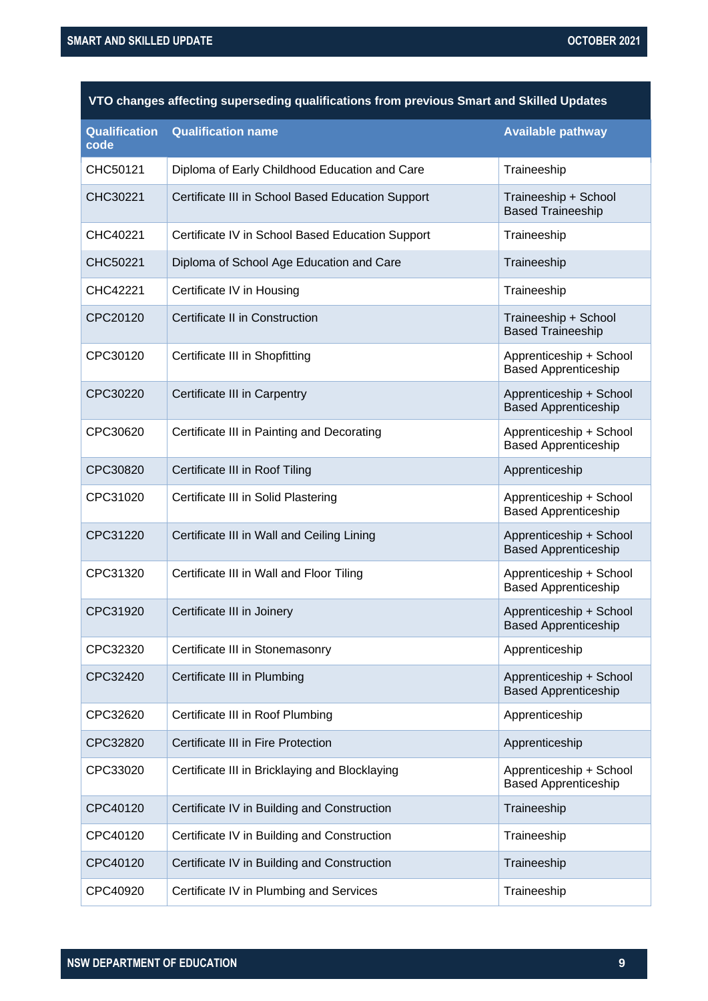|  | VTO changes affecting superseding qualifications from previous Smart and Skilled Updates |  |  |
|--|------------------------------------------------------------------------------------------|--|--|
|--|------------------------------------------------------------------------------------------|--|--|

| <b>Qualification</b><br>code | <b>Qualification name</b>                         | <b>Available pathway</b>                               |
|------------------------------|---------------------------------------------------|--------------------------------------------------------|
| CHC50121                     | Diploma of Early Childhood Education and Care     | Traineeship                                            |
| CHC30221                     | Certificate III in School Based Education Support | Traineeship + School<br><b>Based Traineeship</b>       |
| CHC40221                     | Certificate IV in School Based Education Support  | Traineeship                                            |
| CHC50221                     | Diploma of School Age Education and Care          | Traineeship                                            |
| CHC42221                     | Certificate IV in Housing                         | Traineeship                                            |
| CPC20120                     | Certificate II in Construction                    | Traineeship + School<br><b>Based Traineeship</b>       |
| CPC30120                     | Certificate III in Shopfitting                    | Apprenticeship + School<br><b>Based Apprenticeship</b> |
| CPC30220                     | Certificate III in Carpentry                      | Apprenticeship + School<br><b>Based Apprenticeship</b> |
| CPC30620                     | Certificate III in Painting and Decorating        | Apprenticeship + School<br><b>Based Apprenticeship</b> |
| CPC30820                     | Certificate III in Roof Tiling                    | Apprenticeship                                         |
| CPC31020                     | Certificate III in Solid Plastering               | Apprenticeship + School<br><b>Based Apprenticeship</b> |
| CPC31220                     | Certificate III in Wall and Ceiling Lining        | Apprenticeship + School<br><b>Based Apprenticeship</b> |
| CPC31320                     | Certificate III in Wall and Floor Tiling          | Apprenticeship + School<br><b>Based Apprenticeship</b> |
| CPC31920                     | Certificate III in Joinery                        | Apprenticeship + School<br><b>Based Apprenticeship</b> |
| CPC32320                     | Certificate III in Stonemasonry                   | Apprenticeship                                         |
| CPC32420                     | Certificate III in Plumbing                       | Apprenticeship + School<br><b>Based Apprenticeship</b> |
| CPC32620                     | Certificate III in Roof Plumbing                  | Apprenticeship                                         |
| CPC32820                     | Certificate III in Fire Protection                | Apprenticeship                                         |
| CPC33020                     | Certificate III in Bricklaying and Blocklaying    | Apprenticeship + School<br><b>Based Apprenticeship</b> |
| CPC40120                     | Certificate IV in Building and Construction       | Traineeship                                            |
| CPC40120                     | Certificate IV in Building and Construction       | Traineeship                                            |
| CPC40120                     | Certificate IV in Building and Construction       | Traineeship                                            |
| CPC40920                     | Certificate IV in Plumbing and Services           | Traineeship                                            |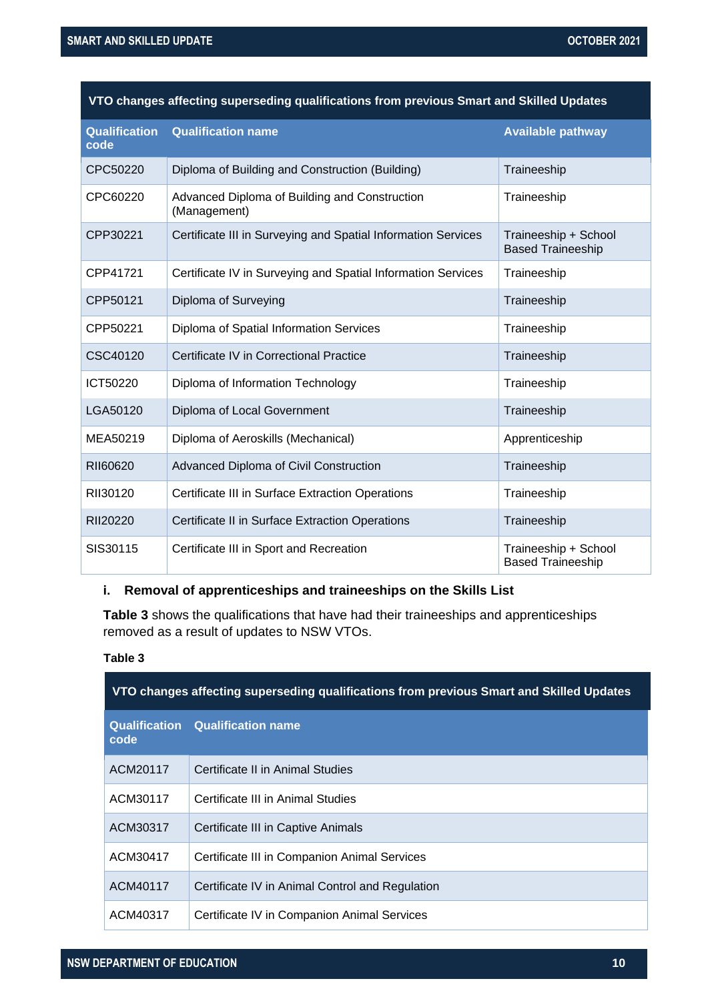| <b>Qualification</b><br>code | <b>Qualification name</b>                                     | <b>Available pathway</b>                         |
|------------------------------|---------------------------------------------------------------|--------------------------------------------------|
| CPC50220                     | Diploma of Building and Construction (Building)               | Traineeship                                      |
| CPC60220                     | Advanced Diploma of Building and Construction<br>(Management) | Traineeship                                      |
| CPP30221                     | Certificate III in Surveying and Spatial Information Services | Traineeship + School<br><b>Based Traineeship</b> |
| CPP41721                     | Certificate IV in Surveying and Spatial Information Services  | Traineeship                                      |
| CPP50121                     | Diploma of Surveying                                          | Traineeship                                      |
| CPP50221                     | Diploma of Spatial Information Services                       | Traineeship                                      |
| CSC40120                     | Certificate IV in Correctional Practice                       | Traineeship                                      |
| ICT50220                     | Diploma of Information Technology                             | Traineeship                                      |
| LGA50120                     | Diploma of Local Government                                   | Traineeship                                      |
| MEA50219                     | Diploma of Aeroskills (Mechanical)                            | Apprenticeship                                   |
| RII60620                     | Advanced Diploma of Civil Construction                        | Traineeship                                      |
| RII30120                     | Certificate III in Surface Extraction Operations              | Traineeship                                      |
| RII20220                     | Certificate II in Surface Extraction Operations               | Traineeship                                      |
| SIS30115                     | Certificate III in Sport and Recreation                       | Traineeship + School<br><b>Based Traineeship</b> |

# **i. Removal of apprenticeships and traineeships on the Skills List**

**[Table 3](#page-9-0)** shows the qualifications that have had their traineeships and apprenticeships removed as a result of updates to NSW VTOs.

# <span id="page-9-0"></span>**Table 3**

| VTO changes affecting superseding qualifications from previous Smart and Skilled Updates |                                                 |  |
|------------------------------------------------------------------------------------------|-------------------------------------------------|--|
| code                                                                                     | <b>Qualification Qualification name</b>         |  |
| ACM20117                                                                                 | Certificate II in Animal Studies                |  |
| ACM30117                                                                                 | Certificate III in Animal Studies               |  |
| ACM30317                                                                                 | Certificate III in Captive Animals              |  |
| ACM30417                                                                                 | Certificate III in Companion Animal Services    |  |
| ACM40117                                                                                 | Certificate IV in Animal Control and Regulation |  |
| ACM40317                                                                                 | Certificate IV in Companion Animal Services     |  |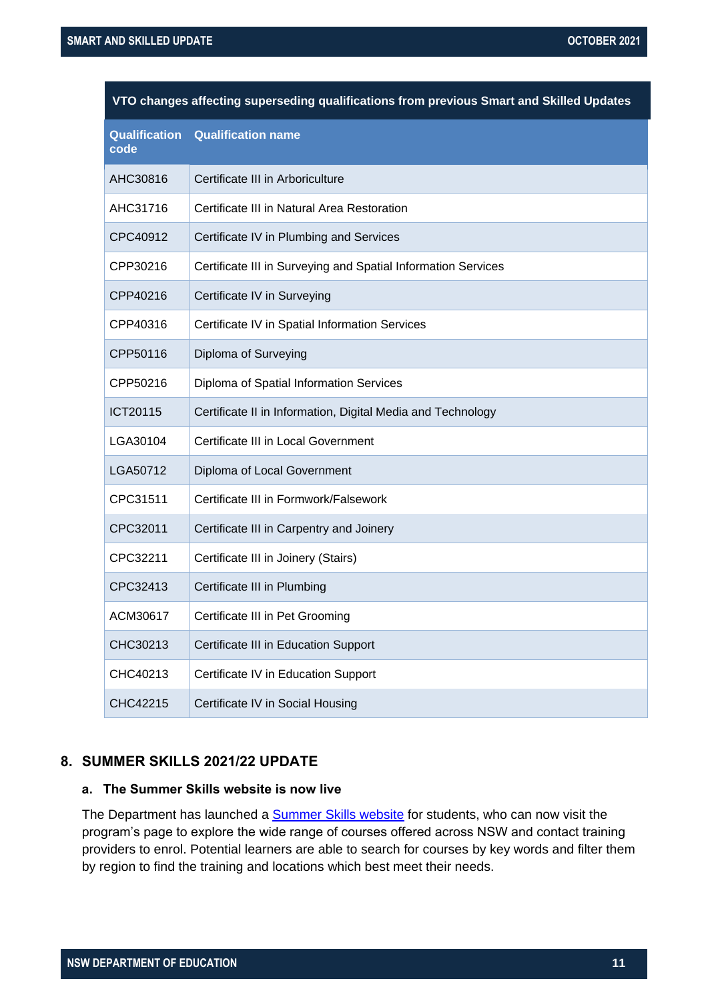| VTO changes affecting superseding qualifications from previous Smart and Skilled Updates |                                                               |  |
|------------------------------------------------------------------------------------------|---------------------------------------------------------------|--|
| <b>Qualification</b><br>code                                                             | <b>Qualification name</b>                                     |  |
| AHC30816                                                                                 | Certificate III in Arboriculture                              |  |
| AHC31716                                                                                 | Certificate III in Natural Area Restoration                   |  |
| CPC40912                                                                                 | Certificate IV in Plumbing and Services                       |  |
| CPP30216                                                                                 | Certificate III in Surveying and Spatial Information Services |  |
| CPP40216                                                                                 | Certificate IV in Surveying                                   |  |
| CPP40316                                                                                 | Certificate IV in Spatial Information Services                |  |
| CPP50116                                                                                 | Diploma of Surveying                                          |  |
| CPP50216                                                                                 | Diploma of Spatial Information Services                       |  |
| ICT20115                                                                                 | Certificate II in Information, Digital Media and Technology   |  |
| LGA30104                                                                                 | Certificate III in Local Government                           |  |
| LGA50712                                                                                 | Diploma of Local Government                                   |  |
| CPC31511                                                                                 | Certificate III in Formwork/Falsework                         |  |
| CPC32011                                                                                 | Certificate III in Carpentry and Joinery                      |  |
| CPC32211                                                                                 | Certificate III in Joinery (Stairs)                           |  |
| CPC32413                                                                                 | Certificate III in Plumbing                                   |  |
| ACM30617                                                                                 | Certificate III in Pet Grooming                               |  |
| CHC30213                                                                                 | Certificate III in Education Support                          |  |
| CHC40213                                                                                 | Certificate IV in Education Support                           |  |
| CHC42215                                                                                 | Certificate IV in Social Housing                              |  |

# **8. SUMMER SKILLS 2021/22 UPDATE**

# **a. The Summer Skills website is now live**

The Department has launched a **Summer Skills website** for students, who can now visit the program's page to explore the wide range of courses offered across NSW and contact training providers to enrol. Potential learners are able to search for courses by key words and filter them by region to find the training and locations which best meet their needs.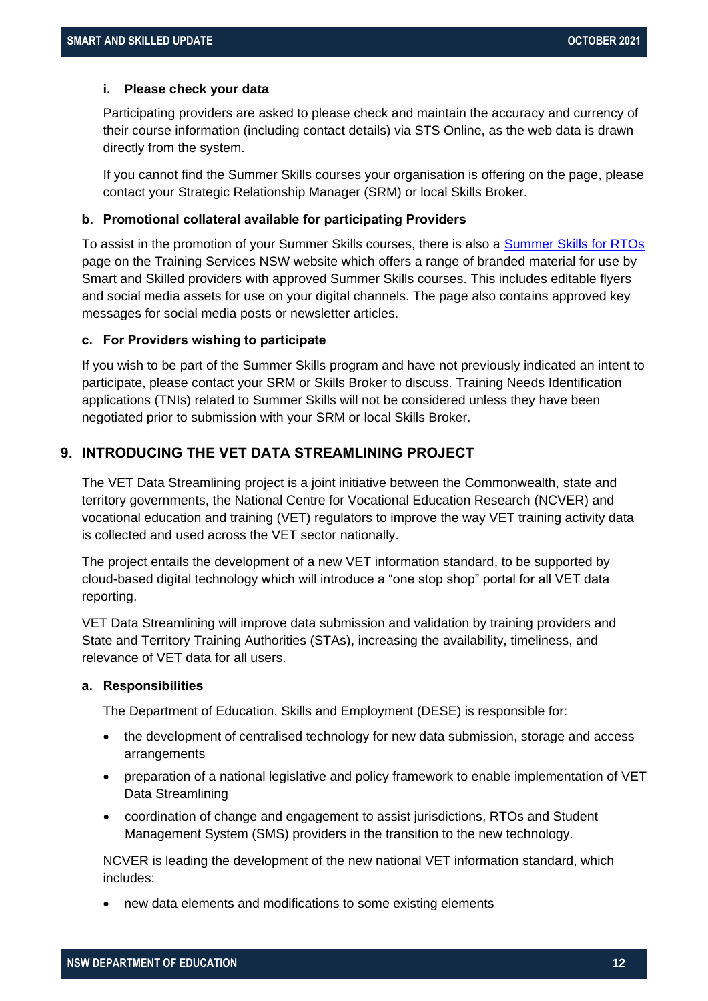#### **i. Please check your data**

Participating providers are asked to please check and maintain the accuracy and currency of their course information (including contact details) via STS Online, as the web data is drawn directly from the system.

If you cannot find the Summer Skills courses your organisation is offering on the page, please contact your Strategic Relationship Manager (SRM) or local Skills Broker.

# **b. Promotional collateral available for participating Providers**

To assist in the promotion of your Summer Skills courses, there is also a [Summer Skills for RTOs](https://www.training.nsw.gov.au/programs_services/sfr/skills_brokers/summer_skills/index.html) page on the Training Services NSW website which offers a range of branded material for use by Smart and Skilled providers with approved Summer Skills courses. This includes editable flyers and social media assets for use on your digital channels. The page also contains approved key messages for social media posts or newsletter articles.

# **c. For Providers wishing to participate**

If you wish to be part of the Summer Skills program and have not previously indicated an intent to participate, please contact your SRM or Skills Broker to discuss. Training Needs Identification applications (TNIs) related to Summer Skills will not be considered unless they have been negotiated prior to submission with your SRM or local Skills Broker.

# **9. INTRODUCING THE VET DATA STREAMLINING PROJECT**

The VET Data Streamlining project is a joint initiative between the Commonwealth, state and territory governments, the National Centre for Vocational Education Research (NCVER) and vocational education and training (VET) regulators to improve the way VET training activity data is collected and used across the VET sector nationally.

The project entails the development of a new VET information standard, to be supported by cloud-based digital technology which will introduce a "one stop shop" portal for all VET data reporting.

VET Data Streamlining will improve data submission and validation by training providers and State and Territory Training Authorities (STAs), increasing the availability, timeliness, and relevance of VET data for all users.

### **a. Responsibilities**

The Department of Education, Skills and Employment (DESE) is responsible for:

- the development of centralised technology for new data submission, storage and access arrangements
- preparation of a national legislative and policy framework to enable implementation of VET Data Streamlining
- coordination of change and engagement to assist jurisdictions, RTOs and Student Management System (SMS) providers in the transition to the new technology.

NCVER is leading the development of the new national VET information standard, which includes:

• new data elements and modifications to some existing elements